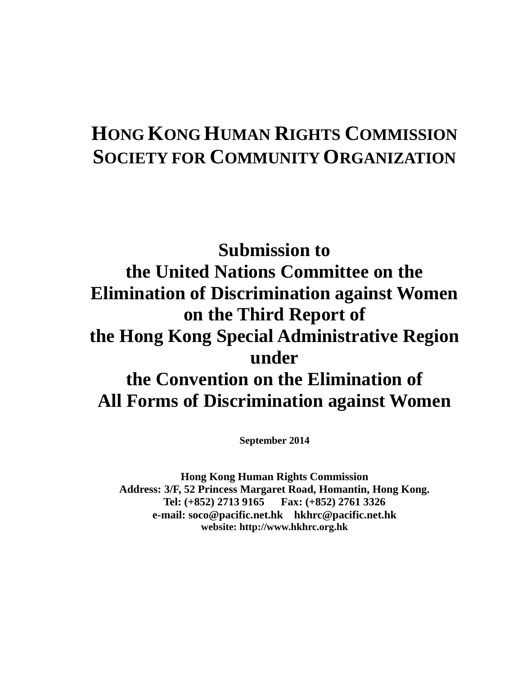# **HONG KONG HUMAN RIGHTS COMMISSION SOCIETY FOR COMMUNITY ORGANIZATION**

# **Submission to the United Nations Committee on the Elimination of Discrimination against Women on the Third Report of the Hong Kong Special Administrative Region under the Convention on the Elimination of All Forms of Discrimination against Women**

**September 2014** 

**Hong Kong Human Rights Commission Address: 3/F, 52 Princess Margaret Road, Homantin, Hong Kong. Tel: (+852) 2713 9165 Fax: (+852) 2761 3326 e-mail: soco@pacific.net.hk hkhrc@pacific.net.hk website: http://www.hkhrc.org.hk**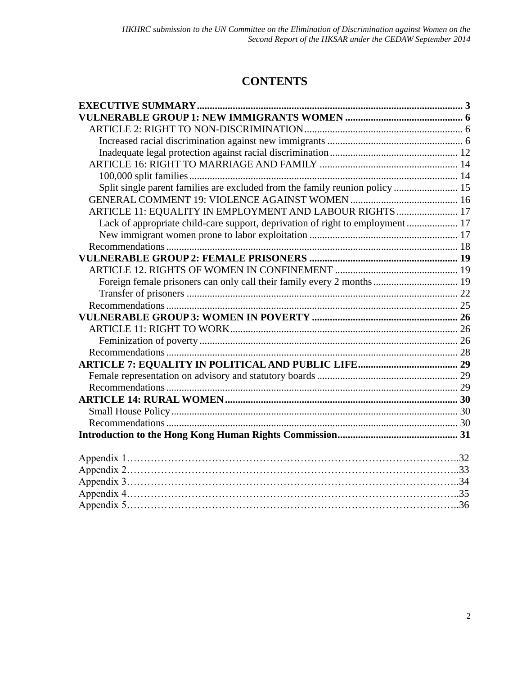# **CONTENTS**

| Split single parent families are excluded from the family reunion policy  15  |  |
|-------------------------------------------------------------------------------|--|
|                                                                               |  |
| ARTICLE 11: EQUALITY IN EMPLOYMENT AND LABOUR RIGHTS  17                      |  |
| Lack of appropriate child-care support, deprivation of right to employment 17 |  |
|                                                                               |  |
|                                                                               |  |
|                                                                               |  |
|                                                                               |  |
| Foreign female prisoners can only call their family every 2 months 19         |  |
|                                                                               |  |
|                                                                               |  |
|                                                                               |  |
|                                                                               |  |
|                                                                               |  |
|                                                                               |  |
|                                                                               |  |
|                                                                               |  |
|                                                                               |  |
|                                                                               |  |
|                                                                               |  |
|                                                                               |  |
|                                                                               |  |
|                                                                               |  |
|                                                                               |  |
|                                                                               |  |
|                                                                               |  |
|                                                                               |  |
|                                                                               |  |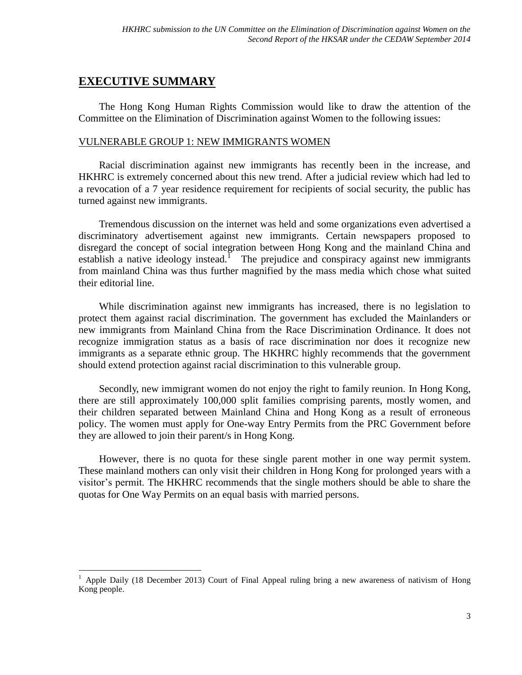# <span id="page-2-0"></span>**EXECUTIVE SUMMARY**

 $\overline{a}$ 

The Hong Kong Human Rights Commission would like to draw the attention of the Committee on the Elimination of Discrimination against Women to the following issues:

## VULNERABLE GROUP 1: NEW IMMIGRANTS WOMEN

Racial discrimination against new immigrants has recently been in the increase, and HKHRC is extremely concerned about this new trend. After a judicial review which had led to a revocation of a 7 year residence requirement for recipients of social security, the public has turned against new immigrants.

Tremendous discussion on the internet was held and some organizations even advertised a discriminatory advertisement against new immigrants. Certain newspapers proposed to disregard the concept of social integration between Hong Kong and the mainland China and establish a native ideology instead.<sup>1</sup> The prejudice and conspiracy against new immigrants from mainland China was thus further magnified by the mass media which chose what suited their editorial line.

While discrimination against new immigrants has increased, there is no legislation to protect them against racial discrimination. The government has excluded the Mainlanders or new immigrants from Mainland China from the Race Discrimination Ordinance. It does not recognize immigration status as a basis of race discrimination nor does it recognize new immigrants as a separate ethnic group. The HKHRC highly recommends that the government should extend protection against racial discrimination to this vulnerable group.

Secondly, new immigrant women do not enjoy the right to family reunion. In Hong Kong, there are still approximately 100,000 split families comprising parents, mostly women, and their children separated between Mainland China and Hong Kong as a result of erroneous policy. The women must apply for One-way Entry Permits from the PRC Government before they are allowed to join their parent/s in Hong Kong.

However, there is no quota for these single parent mother in one way permit system. These mainland mothers can only visit their children in Hong Kong for prolonged years with a visitor's permit. The HKHRC recommends that the single mothers should be able to share the quotas for One Way Permits on an equal basis with married persons.

<sup>1</sup> Apple Daily (18 December 2013) Court of Final Appeal ruling bring a new awareness of nativism of Hong Kong people.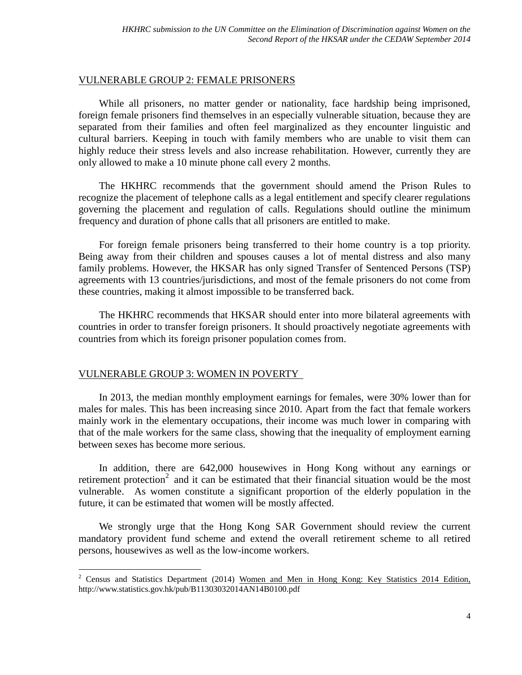#### VULNERABLE GROUP 2: FEMALE PRISONERS

While all prisoners, no matter gender or nationality, face hardship being imprisoned, foreign female prisoners find themselves in an especially vulnerable situation, because they are separated from their families and often feel marginalized as they encounter linguistic and cultural barriers. Keeping in touch with family members who are unable to visit them can highly reduce their stress levels and also increase rehabilitation. However, currently they are only allowed to make a 10 minute phone call every 2 months.

The HKHRC recommends that the government should amend the Prison Rules to recognize the placement of telephone calls as a legal entitlement and specify clearer regulations governing the placement and regulation of calls. Regulations should outline the minimum frequency and duration of phone calls that all prisoners are entitled to make.

For foreign female prisoners being transferred to their home country is a top priority. Being away from their children and spouses causes a lot of mental distress and also many family problems. However, the HKSAR has only signed Transfer of Sentenced Persons (TSP) agreements with 13 countries/jurisdictions, and most of the female prisoners do not come from these countries, making it almost impossible to be transferred back.

The HKHRC recommends that HKSAR should enter into more bilateral agreements with countries in order to transfer foreign prisoners. It should proactively negotiate agreements with countries from which its foreign prisoner population comes from.

#### VULNERABLE GROUP 3: WOMEN IN POVERTY

 $\overline{a}$ 

In 2013, the median monthly employment earnings for females, were 30% lower than for males for males. This has been increasing since 2010. Apart from the fact that female workers mainly work in the elementary occupations, their income was much lower in comparing with that of the male workers for the same class, showing that the inequality of employment earning between sexes has become more serious.

In addition, there are 642,000 housewives in Hong Kong without any earnings or retirement protection<sup>2</sup> and it can be estimated that their financial situation would be the most vulnerable. As women constitute a significant proportion of the elderly population in the future, it can be estimated that women will be mostly affected.

We strongly urge that the Hong Kong SAR Government should review the current mandatory provident fund scheme and extend the overall retirement scheme to all retired persons, housewives as well as the low-income workers.

<sup>&</sup>lt;sup>2</sup> Census and Statistics Department (2014) Women and Men in Hong Kong: Key Statistics 2014 Edition, http://www.statistics.gov.hk/pub/B11303032014AN14B0100.pdf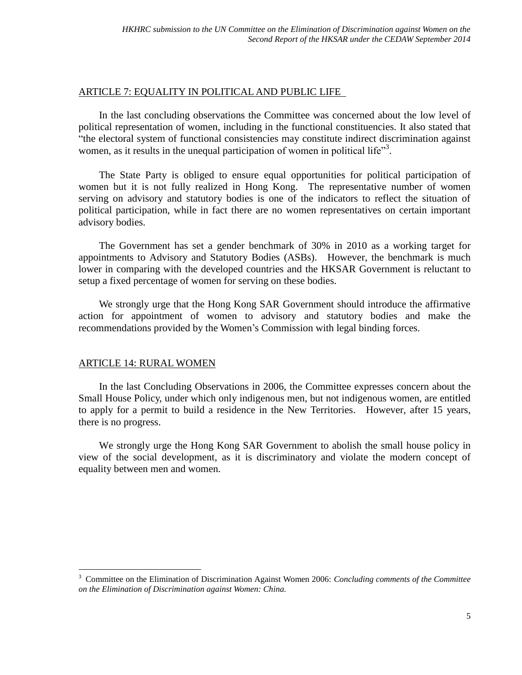## ARTICLE 7: EQUALITY IN POLITICAL AND PUBLIC LIFE

In the last concluding observations the Committee was concerned about the low level of political representation of women, including in the functional constituencies. It also stated that "the electoral system of functional consistencies may constitute indirect discrimination against women, as it results in the unequal participation of women in political life<sup>33</sup>.

The State Party is obliged to ensure equal opportunities for political participation of women but it is not fully realized in Hong Kong. The representative number of women serving on advisory and statutory bodies is one of the indicators to reflect the situation of political participation, while in fact there are no women representatives on certain important advisory bodies.

The Government has set a gender benchmark of 30% in 2010 as a working target for appointments to Advisory and Statutory Bodies (ASBs). However, the benchmark is much lower in comparing with the developed countries and the HKSAR Government is reluctant to setup a fixed percentage of women for serving on these bodies.

We strongly urge that the Hong Kong SAR Government should introduce the affirmative action for appointment of women to advisory and statutory bodies and make the recommendations provided by the Women's Commission with legal binding forces.

## ARTICLE 14: RURAL WOMEN

 $\overline{a}$ 

In the last Concluding Observations in 2006, the Committee expresses concern about the Small House Policy, under which only indigenous men, but not indigenous women, are entitled to apply for a permit to build a residence in the New Territories. However, after 15 years, there is no progress.

We strongly urge the Hong Kong SAR Government to abolish the small house policy in view of the social development, as it is discriminatory and violate the modern concept of equality between men and women.

<sup>3</sup> Committee on the Elimination of Discrimination Against Women 2006: *Concluding comments of the Committee on the Elimination of Discrimination against Women: China.*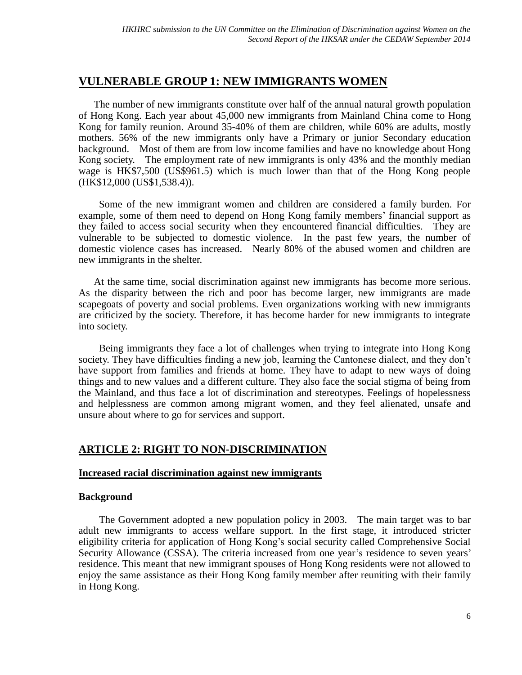# <span id="page-5-0"></span>**VULNERABLE GROUP 1: NEW IMMIGRANTS WOMEN**

The number of new immigrants constitute over half of the annual natural growth population of Hong Kong. Each year about 45,000 new immigrants from Mainland China come to Hong Kong for family reunion. Around 35-40% of them are children, while 60% are adults, mostly mothers. 56% of the new immigrants only have a Primary or junior Secondary education background. Most of them are from low income families and have no knowledge about Hong Kong society. The employment rate of new immigrants is only 43% and the monthly median wage is HK\$7,500 (US\$961.5) which is much lower than that of the Hong Kong people (HK\$12,000 (US\$1,538.4)).

Some of the new immigrant women and children are considered a family burden. For example, some of them need to depend on Hong Kong family members' financial support as they failed to access social security when they encountered financial difficulties. They are vulnerable to be subjected to domestic violence. In the past few years, the number of domestic violence cases has increased. Nearly 80% of the abused women and children are new immigrants in the shelter.

At the same time, social discrimination against new immigrants has become more serious. As the disparity between the rich and poor has become larger, new immigrants are made scapegoats of poverty and social problems. Even organizations working with new immigrants are criticized by the society. Therefore, it has become harder for new immigrants to integrate into society.

Being immigrants they face a lot of challenges when trying to integrate into Hong Kong society. They have difficulties finding a new job, learning the Cantonese dialect, and they don't have support from families and friends at home. They have to adapt to new ways of doing things and to new values and a different culture. They also face the social stigma of being from the Mainland, and thus face a lot of discrimination and stereotypes. Feelings of hopelessness and helplessness are common among migrant women, and they feel alienated, unsafe and unsure about where to go for services and support.

## <span id="page-5-1"></span>**ARTICLE 2: RIGHT TO NON-DISCRIMINATION**

## <span id="page-5-2"></span>**Increased racial discrimination against new immigrants**

## **Background**

The Government adopted a new population policy in 2003. The main target was to bar adult new immigrants to access welfare support. In the first stage, it introduced stricter eligibility criteria for application of Hong Kong's social security called Comprehensive Social Security Allowance (CSSA). The criteria increased from one year's residence to seven years' residence. This meant that new immigrant spouses of Hong Kong residents were not allowed to enjoy the same assistance as their Hong Kong family member after reuniting with their family in Hong Kong.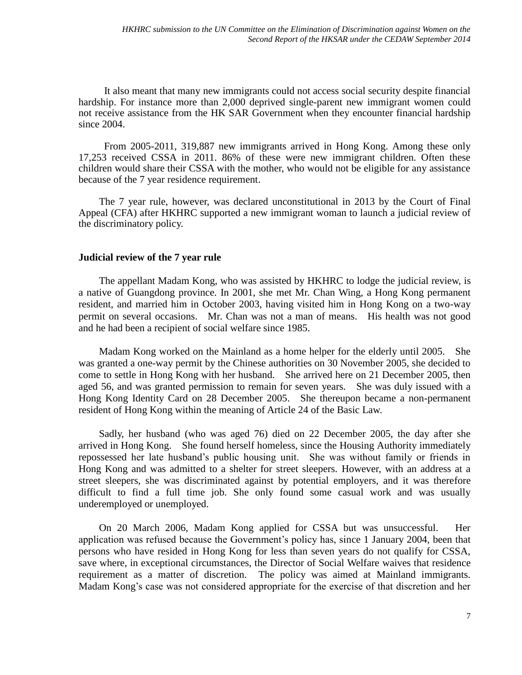It also meant that many new immigrants could not access social security despite financial hardship. For instance more than 2,000 deprived single-parent new immigrant women could not receive assistance from the HK SAR Government when they encounter financial hardship since 2004.

From 2005-2011, 319,887 new immigrants arrived in Hong Kong. Among these only 17,253 received CSSA in 2011. 86% of these were new immigrant children. Often these children would share their CSSA with the mother, who would not be eligible for any assistance because of the 7 year residence requirement.

The 7 year rule, however, was declared unconstitutional in 2013 by the Court of Final Appeal (CFA) after HKHRC supported a new immigrant woman to launch a judicial review of the discriminatory policy.

#### **Judicial review of the 7 year rule**

The appellant Madam Kong, who was assisted by HKHRC to lodge the judicial review, is a native of Guangdong province. In 2001, she met Mr. Chan Wing, a Hong Kong permanent resident, and married him in October 2003, having visited him in Hong Kong on a two-way permit on several occasions. Mr. Chan was not a man of means. His health was not good and he had been a recipient of social welfare since 1985.

Madam Kong worked on the Mainland as a home helper for the elderly until 2005. She was granted a one-way permit by the Chinese authorities on 30 November 2005, she decided to come to settle in Hong Kong with her husband. She arrived here on 21 December 2005, then aged 56, and was granted permission to remain for seven years. She was duly issued with a Hong Kong Identity Card on 28 December 2005. She thereupon became a non-permanent resident of Hong Kong within the meaning of Article 24 of the Basic Law.

Sadly, her husband (who was aged 76) died on 22 December 2005, the day after she arrived in Hong Kong. She found herself homeless, since the Housing Authority immediately repossessed her late husband's public housing unit. She was without family or friends in Hong Kong and was admitted to a shelter for street sleepers. However, with an address at a street sleepers, she was discriminated against by potential employers, and it was therefore difficult to find a full time job. She only found some casual work and was usually underemployed or unemployed.

On 20 March 2006, Madam Kong applied for CSSA but was unsuccessful. Her application was refused because the Government's policy has, since 1 January 2004, been that persons who have resided in Hong Kong for less than seven years do not qualify for CSSA, save where, in exceptional circumstances, the Director of Social Welfare waives that residence requirement as a matter of discretion. The policy was aimed at Mainland immigrants. Madam Kong's case was not considered appropriate for the exercise of that discretion and her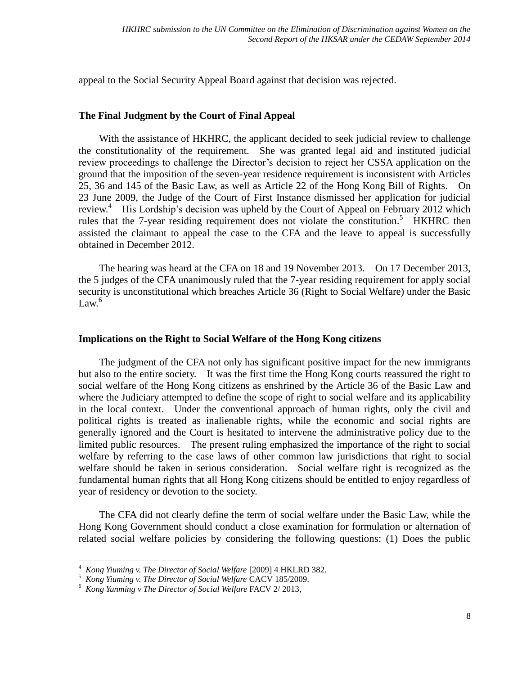appeal to the Social Security Appeal Board against that decision was rejected.

## **The Final Judgment by the Court of Final Appeal**

With the assistance of HKHRC, the applicant decided to seek judicial review to challenge the constitutionality of the requirement. She was granted legal aid and instituted judicial review proceedings to challenge the Director's decision to reject her CSSA application on the ground that the imposition of the seven-year residence requirement is inconsistent with Articles 25, 36 and 145 of the Basic Law, as well as Article 22 of the Hong Kong Bill of Rights. On 23 June 2009, the Judge of the Court of First Instance dismissed her application for judicial review.<sup>4</sup> His Lordship's decision was upheld by the Court of Appeal on February 2012 which rules that the 7-year residing requirement does not violate the constitution.<sup>5</sup> HKHRC then assisted the claimant to appeal the case to the CFA and the leave to appeal is successfully obtained in December 2012.

The hearing was heard at the CFA on 18 and 19 November 2013. On 17 December 2013, the 5 judges of the CFA unanimously ruled that the 7-year residing requirement for apply social security is unconstitutional which breaches Article 36 (Right to Social Welfare) under the Basic  $Law.<sup>6</sup>$ 

## **Implications on the Right to Social Welfare of the Hong Kong citizens**

The judgment of the CFA not only has significant positive impact for the new immigrants but also to the entire society. It was the first time the Hong Kong courts reassured the right to social welfare of the Hong Kong citizens as enshrined by the Article 36 of the Basic Law and where the Judiciary attempted to define the scope of right to social welfare and its applicability in the local context. Under the conventional approach of human rights, only the civil and political rights is treated as inalienable rights, while the economic and social rights are generally ignored and the Court is hesitated to intervene the administrative policy due to the limited public resources. The present ruling emphasized the importance of the right to social welfare by referring to the case laws of other common law jurisdictions that right to social welfare should be taken in serious consideration. Social welfare right is recognized as the fundamental human rights that all Hong Kong citizens should be entitled to enjoy regardless of year of residency or devotion to the society.

The CFA did not clearly define the term of social welfare under the Basic Law, while the Hong Kong Government should conduct a close examination for formulation or alternation of related social welfare policies by considering the following questions: (1) Does the public

 $\overline{1}$ <sup>4</sup> *Kong Yiuming v. The Director of Social Welfare* [2009] 4 HKLRD 382.

<sup>5</sup> *Kong Yiuming v. The Director of Social Welfare* CACV 185/2009.

<sup>6</sup> *Kong Yunming v The Director of Social Welfare* FACV 2/ 2013,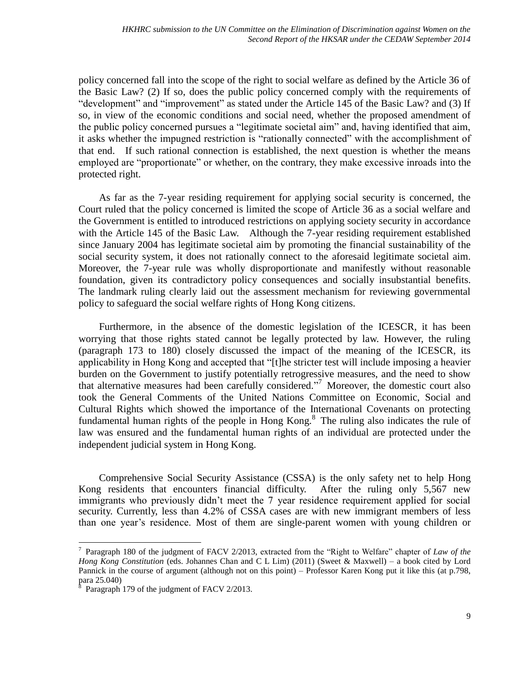policy concerned fall into the scope of the right to social welfare as defined by the Article 36 of the Basic Law? (2) If so, does the public policy concerned comply with the requirements of "development" and "improvement" as stated under the Article 145 of the Basic Law? and (3) If so, in view of the economic conditions and social need, whether the proposed amendment of the public policy concerned pursues a "legitimate societal aim" and, having identified that aim, it asks whether the impugned restriction is "rationally connected" with the accomplishment of that end. If such rational connection is established, the next question is whether the means employed are "proportionate" or whether, on the contrary, they make excessive inroads into the protected right.

As far as the 7-year residing requirement for applying social security is concerned, the Court ruled that the policy concerned is limited the scope of Article 36 as a social welfare and the Government is entitled to introduced restrictions on applying society security in accordance with the Article 145 of the Basic Law. Although the 7-year residing requirement established since January 2004 has legitimate societal aim by promoting the financial sustainability of the social security system, it does not rationally connect to the aforesaid legitimate societal aim. Moreover, the 7-year rule was wholly disproportionate and manifestly without reasonable foundation, given its contradictory policy consequences and socially insubstantial benefits. The landmark ruling clearly laid out the assessment mechanism for reviewing governmental policy to safeguard the social welfare rights of Hong Kong citizens.

Furthermore, in the absence of the domestic legislation of the ICESCR, it has been worrying that those rights stated cannot be legally protected by law. However, the ruling (paragraph 173 to 180) closely discussed the impact of the meaning of the ICESCR, its applicability in Hong Kong and accepted that "[t]he stricter test will include imposing a heavier burden on the Government to justify potentially retrogressive measures, and the need to show that alternative measures had been carefully considered." <sup>7</sup> Moreover, the domestic court also took the General Comments of the United Nations Committee on Economic, Social and Cultural Rights which showed the importance of the International Covenants on protecting fundamental human rights of the people in Hong Kong.<sup>8</sup> The ruling also indicates the rule of law was ensured and the fundamental human rights of an individual are protected under the independent judicial system in Hong Kong.

Comprehensive Social Security Assistance (CSSA) is the only safety net to help Hong Kong residents that encounters financial difficulty. After the ruling only 5,567 new immigrants who previously didn't meet the 7 year residence requirement applied for social security. Currently, less than 4.2% of CSSA cases are with new immigrant members of less than one year's residence. Most of them are single-parent women with young children or

 $\overline{a}$ 

<sup>7</sup> Paragraph 180 of the judgment of FACV 2/2013, extracted from the "Right to Welfare" chapter of *Law of the Hong Kong Constitution* (eds. Johannes Chan and C L Lim) (2011) (Sweet & Maxwell) – a book cited by Lord Pannick in the course of argument (although not on this point) – Professor Karen Kong put it like this (at p.798, para 25.040)

Paragraph 179 of the judgment of FACV 2/2013.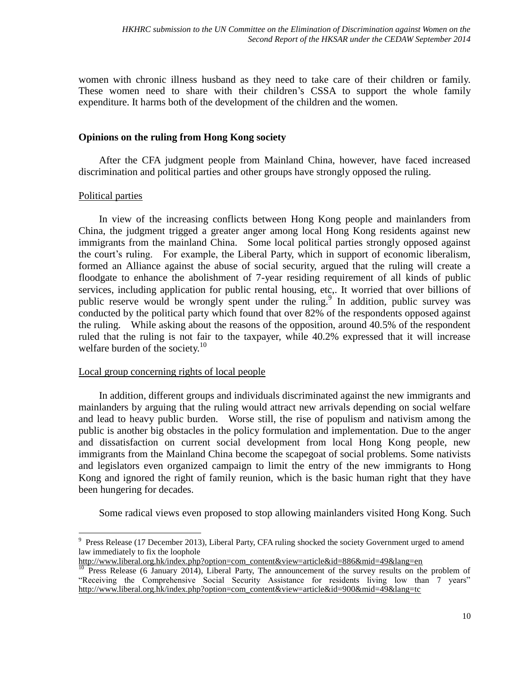women with chronic illness husband as they need to take care of their children or family. These women need to share with their children's CSSA to support the whole family expenditure. It harms both of the development of the children and the women.

## **Opinions on the ruling from Hong Kong society**

After the CFA judgment people from Mainland China, however, have faced increased discrimination and political parties and other groups have strongly opposed the ruling.

## Political parties

 $\overline{a}$ 

In view of the increasing conflicts between Hong Kong people and mainlanders from China, the judgment trigged a greater anger among local Hong Kong residents against new immigrants from the mainland China. Some local political parties strongly opposed against the court's ruling. For example, the Liberal Party, which in support of economic liberalism, formed an Alliance against the abuse of social security, argued that the ruling will create a floodgate to enhance the abolishment of 7-year residing requirement of all kinds of public services, including application for public rental housing, etc,. It worried that over billions of public reserve would be wrongly spent under the ruling.<sup>9</sup> In addition, public survey was conducted by the political party which found that over 82% of the respondents opposed against the ruling. While asking about the reasons of the opposition, around 40.5% of the respondent ruled that the ruling is not fair to the taxpayer, while 40.2% expressed that it will increase welfare burden of the society. $10<sup>10</sup>$ 

## Local group concerning rights of local people

In addition, different groups and individuals discriminated against the new immigrants and mainlanders by arguing that the ruling would attract new arrivals depending on social welfare and lead to heavy public burden. Worse still, the rise of populism and nativism among the public is another big obstacles in the policy formulation and implementation. Due to the anger and dissatisfaction on current social development from local Hong Kong people, new immigrants from the Mainland China become the scapegoat of social problems. Some nativists and legislators even organized campaign to limit the entry of the new immigrants to Hong Kong and ignored the right of family reunion, which is the basic human right that they have been hungering for decades.

Some radical views even proposed to stop allowing mainlanders visited Hong Kong. Such

<sup>&</sup>lt;sup>9</sup> Press Release (17 December 2013), Liberal Party, CFA ruling shocked the society Government urged to amend law immediately to fix the loophole

[http://www.liberal.org.hk/index.php?option=com\\_content&view=article&id=886&mid=49&lang=en](http://www.liberal.org.hk/index.php?option=com_content&view=article&id=886&mid=49&lang=en)

<sup>&</sup>lt;sup>10</sup> Press Release (6 January 2014), Liberal Party, The announcement of the survey results on the problem of "Receiving the Comprehensive Social Security Assistance for residents living low than 7 years" [http://www.liberal.org.hk/index.php?option=com\\_content&view=article&id=900&mid=49&lang=tc](http://www.liberal.org.hk/index.php?option=com_content&view=article&id=900&mid=49&lang=tc)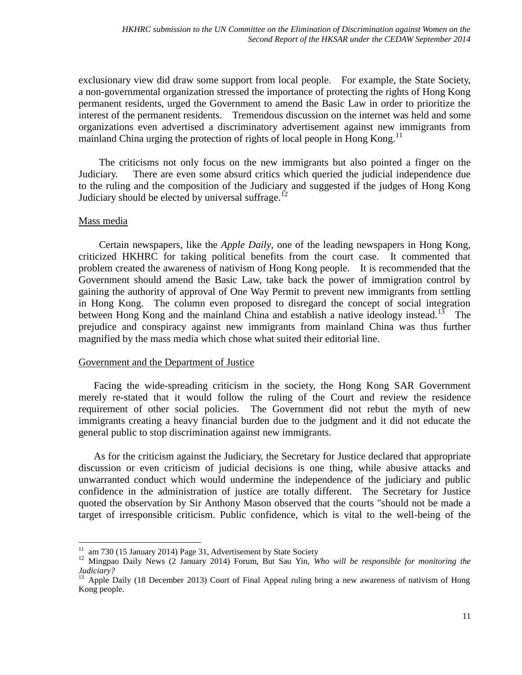exclusionary view did draw some support from local people. For example, the State Society, a non-governmental organization stressed the importance of protecting the rights of Hong Kong permanent residents, urged the Government to amend the Basic Law in order to prioritize the interest of the permanent residents. Tremendous discussion on the internet was held and some organizations even advertised a discriminatory advertisement against new immigrants from mainland China urging the protection of rights of local people in Hong Kong.<sup>11</sup>

The criticisms not only focus on the new immigrants but also pointed a finger on the Judiciary. There are even some absurd critics which queried the judicial independence due to the ruling and the composition of the Judiciary and suggested if the judges of Hong Kong Judiciary should be elected by universal suffrage.<sup>12</sup>

## Mass media

 $\overline{a}$ 

Certain newspapers, like the *Apple Daily*, one of the leading newspapers in Hong Kong, criticized HKHRC for taking political benefits from the court case. It commented that problem created the awareness of nativism of Hong Kong people. It is recommended that the Government should amend the Basic Law, take back the power of immigration control by gaining the authority of approval of One Way Permit to prevent new immigrants from settling in Hong Kong. The column even proposed to disregard the concept of social integration between Hong Kong and the mainland China and establish a native ideology instead.<sup>13</sup> The prejudice and conspiracy against new immigrants from mainland China was thus further magnified by the mass media which chose what suited their editorial line.

## Government and the Department of Justice

Facing the wide-spreading criticism in the society, the Hong Kong SAR Government merely re-stated that it would follow the ruling of the Court and review the residence requirement of other social policies. The Government did not rebut the myth of new immigrants creating a heavy financial burden due to the judgment and it did not educate the general public to stop discrimination against new immigrants.

As for the criticism against the Judiciary, the Secretary for Justice declared that appropriate discussion or even criticism of judicial decisions is one thing, while abusive attacks and unwarranted conduct which would undermine the independence of the judiciary and public confidence in the administration of justice are totally different. The Secretary for Justice quoted the observation by Sir Anthony Mason observed that the courts "should not be made a target of irresponsible criticism. Public confidence, which is vital to the well-being of the

 $11$  am 730 (15 January 2014) Page 31, Advertisement by State Society

<sup>12</sup> Mingpao Daily News (2 January 2014) Forum, But Sau Yin, *Who will be responsible for monitoring the Judiciary?*

<sup>&</sup>lt;sup>13</sup> Apple Daily (18 December 2013) Court of Final Appeal ruling bring a new awareness of nativism of Hong Kong people.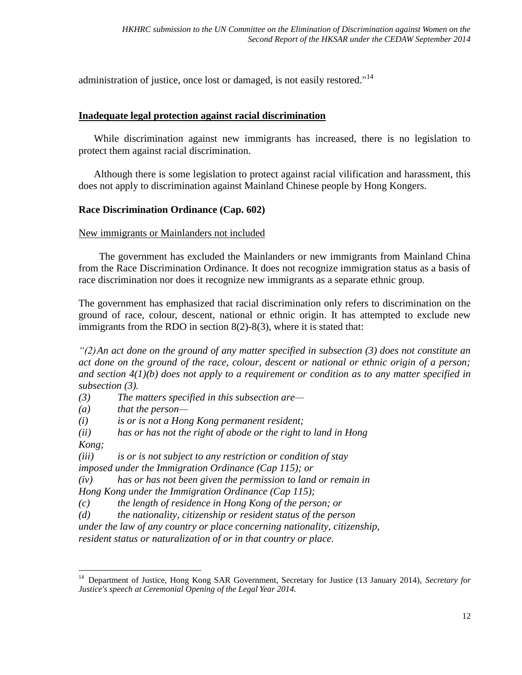administration of justice, once lost or damaged, is not easily restored."<sup>14</sup>

## <span id="page-11-0"></span>**Inadequate legal protection against racial discrimination**

While discrimination against new immigrants has increased, there is no legislation to protect them against racial discrimination.

Although there is some legislation to protect against racial vilification and harassment, this does not apply to discrimination against Mainland Chinese people by Hong Kongers.

## **Race Discrimination Ordinance (Cap. 602)**

## New immigrants or Mainlanders not included

The government has excluded the Mainlanders or new immigrants from Mainland China from the Race Discrimination Ordinance. It does not recognize immigration status as a basis of race discrimination nor does it recognize new immigrants as a separate ethnic group.

The government has emphasized that racial discrimination only refers to discrimination on the ground of race, colour, descent, national or ethnic origin. It has attempted to exclude new immigrants from the RDO in section 8(2)-8(3), where it is stated that:

*"(2)An act done on the ground of any matter specified in subsection (3) does not constitute an act done on the ground of the race, colour, descent or national or ethnic origin of a person; and section 4(1)(b) does not apply to a requirement or condition as to any matter specified in subsection (3).*

*(3) The matters specified in this subsection are—*

*(a) that the person—*

*(i) is or is not a Hong Kong permanent resident;*

*(ii) has or has not the right of abode or the right to land in Hong* 

*Kong;*

 $\overline{a}$ 

*(iii) is or is not subject to any restriction or condition of stay imposed under the Immigration Ordinance (Cap 115); or*

*(iv) has or has not been given the permission to land or remain in* 

*Hong Kong under the Immigration Ordinance (Cap 115);*

*(c) the length of residence in Hong Kong of the person; or*

*(d) the nationality, citizenship or resident status of the person* 

*under the law of any country or place concerning nationality, citizenship,* 

*resident status or naturalization of or in that country or place.*

<sup>14</sup> Department of Justice, Hong Kong SAR Government, Secretary for Justice (13 January 2014), *Secretary for Justice's speech at Ceremonial Opening of the Legal Year 2014.*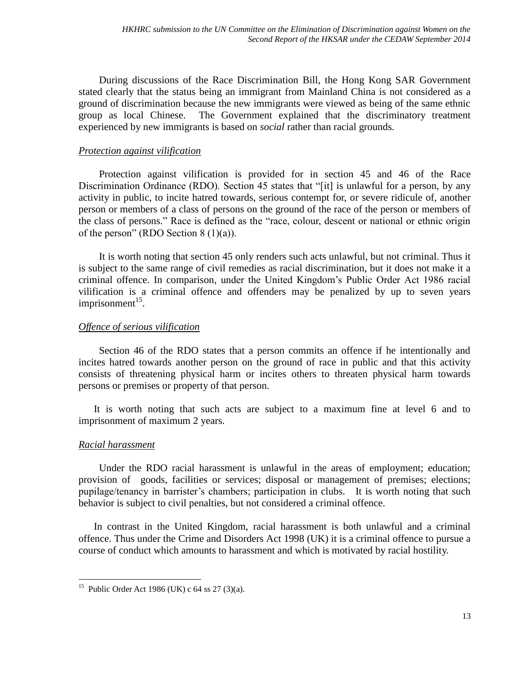During discussions of the Race Discrimination Bill, the Hong Kong SAR Government stated clearly that the status being an immigrant from Mainland China is not considered as a ground of discrimination because the new immigrants were viewed as being of the same ethnic group as local Chinese. The Government explained that the discriminatory treatment experienced by new immigrants is based on *social* rather than racial grounds.

## *Protection against vilification*

Protection against vilification is provided for in section 45 and 46 of the Race Discrimination Ordinance (RDO). Section 45 states that "[it] is unlawful for a person, by any activity in public, to incite hatred towards, serious contempt for, or severe ridicule of, another person or members of a class of persons on the ground of the race of the person or members of the class of persons." Race is defined as the "race, colour, descent or national or ethnic origin of the person" (RDO Section  $8(1)(a)$ ).

It is worth noting that section 45 only renders such acts unlawful, but not criminal. Thus it is subject to the same range of civil remedies as racial discrimination, but it does not make it a criminal offence. In comparison, under the United Kingdom's Public Order Act 1986 racial vilification is a criminal offence and offenders may be penalized by up to seven years imprisonment<sup>15</sup>.

## *Offence of serious vilification*

Section 46 of the RDO states that a person commits an offence if he intentionally and incites hatred towards another person on the ground of race in public and that this activity consists of threatening physical harm or incites others to threaten physical harm towards persons or premises or property of that person.

It is worth noting that such acts are subject to a maximum fine at level 6 and to imprisonment of maximum 2 years.

## *Racial harassment*

 $\overline{a}$ 

Under the RDO racial harassment is unlawful in the areas of employment; education; provision of goods, facilities or services; disposal or management of premises; elections; pupilage/tenancy in barrister's chambers; participation in clubs. It is worth noting that such behavior is subject to civil penalties, but not considered a criminal offence.

In contrast in the United Kingdom, racial harassment is both unlawful and a criminal offence. Thus under the Crime and Disorders Act 1998 (UK) it is a criminal offence to pursue a course of conduct which amounts to harassment and which is motivated by racial hostility.

<sup>&</sup>lt;sup>15</sup> Public Order Act 1986 (UK) c  $64$  ss  $27$  (3)(a).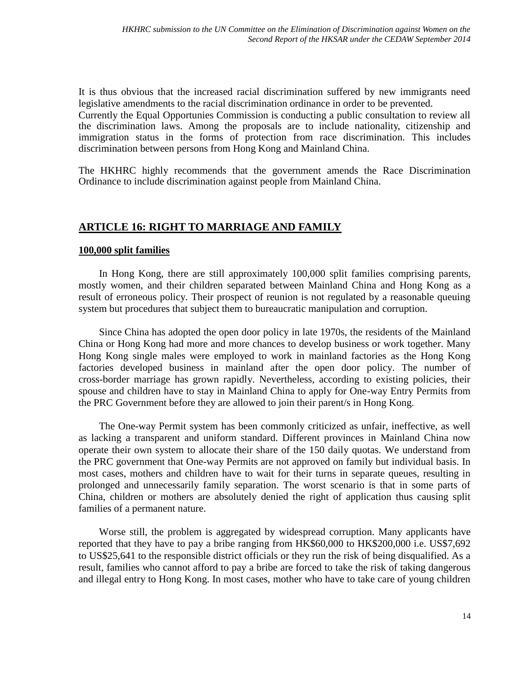It is thus obvious that the increased racial discrimination suffered by new immigrants need legislative amendments to the racial discrimination ordinance in order to be prevented.

Currently the Equal Opportunies Commission is conducting a public consultation to review all the discrimination laws. Among the proposals are to include nationality, citizenship and immigration status in the forms of protection from race discrimination. This includes discrimination between persons from Hong Kong and Mainland China.

The HKHRC highly recommends that the government amends the Race Discrimination Ordinance to include discrimination against people from Mainland China.

## <span id="page-13-0"></span>**ARTICLE 16: RIGHT TO MARRIAGE AND FAMILY**

#### <span id="page-13-1"></span>**100,000 split families**

In Hong Kong, there are still approximately 100,000 split families comprising parents, mostly women, and their children separated between Mainland China and Hong Kong as a result of erroneous policy. Their prospect of reunion is not regulated by a reasonable queuing system but procedures that subject them to bureaucratic manipulation and corruption.

Since China has adopted the open door policy in late 1970s, the residents of the Mainland China or Hong Kong had more and more chances to develop business or work together. Many Hong Kong single males were employed to work in mainland factories as the Hong Kong factories developed business in mainland after the open door policy. The number of cross-border marriage has grown rapidly. Nevertheless, according to existing policies, their spouse and children have to stay in Mainland China to apply for One-way Entry Permits from the PRC Government before they are allowed to join their parent/s in Hong Kong.

The One-way Permit system has been commonly criticized as unfair, ineffective, as well as lacking a transparent and uniform standard. Different provinces in Mainland China now operate their own system to allocate their share of the 150 daily quotas. We understand from the PRC government that One-way Permits are not approved on family but individual basis. In most cases, mothers and children have to wait for their turns in separate queues, resulting in prolonged and unnecessarily family separation. The worst scenario is that in some parts of China, children or mothers are absolutely denied the right of application thus causing split families of a permanent nature.

Worse still, the problem is aggregated by widespread corruption. Many applicants have reported that they have to pay a bribe ranging from HK\$60,000 to HK\$200,000 i.e. US\$7,692 to US\$25,641 to the responsible district officials or they run the risk of being disqualified. As a result, families who cannot afford to pay a bribe are forced to take the risk of taking dangerous and illegal entry to Hong Kong. In most cases, mother who have to take care of young children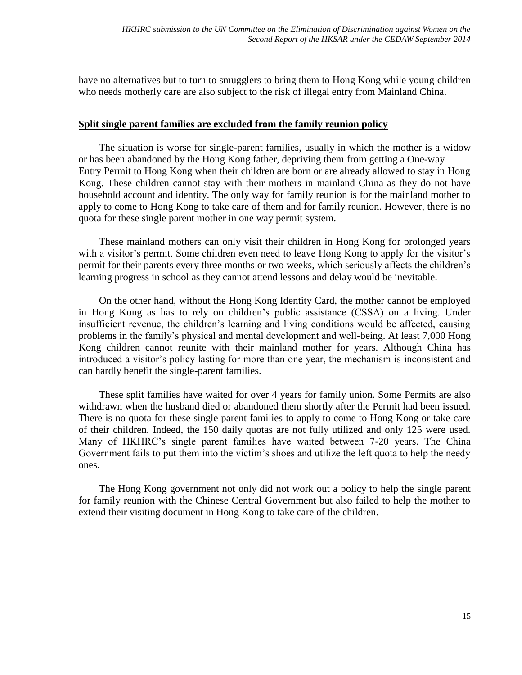have no alternatives but to turn to smugglers to bring them to Hong Kong while young children who needs motherly care are also subject to the risk of illegal entry from Mainland China.

## <span id="page-14-0"></span>**Split single parent families are excluded from the family reunion policy**

The situation is worse for single-parent families, usually in which the mother is a widow or has been abandoned by the Hong Kong father, depriving them from getting a One-way Entry Permit to Hong Kong when their children are born or are already allowed to stay in Hong Kong. These children cannot stay with their mothers in mainland China as they do not have household account and identity. The only way for family reunion is for the mainland mother to apply to come to Hong Kong to take care of them and for family reunion. However, there is no quota for these single parent mother in one way permit system.

These mainland mothers can only visit their children in Hong Kong for prolonged years with a visitor's permit. Some children even need to leave Hong Kong to apply for the visitor's permit for their parents every three months or two weeks, which seriously affects the children's learning progress in school as they cannot attend lessons and delay would be inevitable.

On the other hand, without the Hong Kong Identity Card, the mother cannot be employed in Hong Kong as has to rely on children's public assistance (CSSA) on a living. Under insufficient revenue, the children's learning and living conditions would be affected, causing problems in the family's physical and mental development and well-being. At least 7,000 Hong Kong children cannot reunite with their mainland mother for years. Although China has introduced a visitor's policy lasting for more than one year, the mechanism is inconsistent and can hardly benefit the single-parent families.

These split families have waited for over 4 years for family union. Some Permits are also withdrawn when the husband died or abandoned them shortly after the Permit had been issued. There is no quota for these single parent families to apply to come to Hong Kong or take care of their children. Indeed, the 150 daily quotas are not fully utilized and only 125 were used. Many of HKHRC's single parent families have waited between 7-20 years. The China Government fails to put them into the victim's shoes and utilize the left quota to help the needy ones.

The Hong Kong government not only did not work out a policy to help the single parent for family reunion with the Chinese Central Government but also failed to help the mother to extend their visiting document in Hong Kong to take care of the children.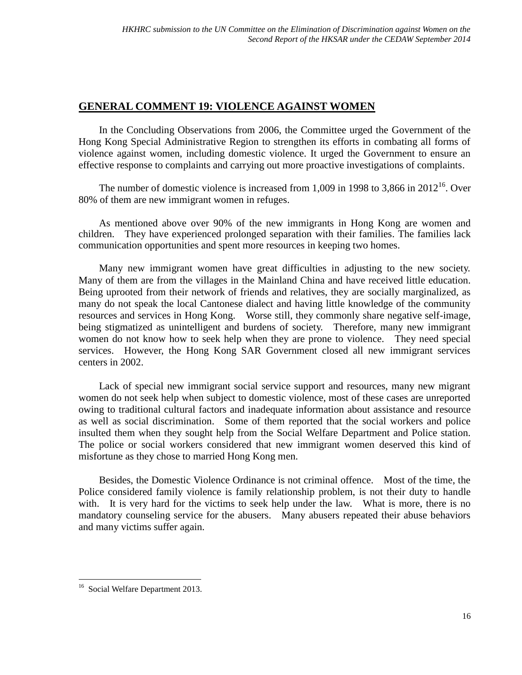## <span id="page-15-0"></span>**GENERAL COMMENT 19: VIOLENCE AGAINST WOMEN**

In the Concluding Observations from 2006, the Committee urged the Government of the Hong Kong Special Administrative Region to strengthen its efforts in combating all forms of violence against women, including domestic violence. It urged the Government to ensure an effective response to complaints and carrying out more proactive investigations of complaints.

The number of domestic violence is increased from 1,009 in 1998 to 3,866 in  $2012^{16}$ . Over 80% of them are new immigrant women in refuges.

As mentioned above over 90% of the new immigrants in Hong Kong are women and children. They have experienced prolonged separation with their families. The families lack communication opportunities and spent more resources in keeping two homes.

Many new immigrant women have great difficulties in adjusting to the new society. Many of them are from the villages in the Mainland China and have received little education. Being uprooted from their network of friends and relatives, they are socially marginalized, as many do not speak the local Cantonese dialect and having little knowledge of the community resources and services in Hong Kong. Worse still, they commonly share negative self-image, being stigmatized as unintelligent and burdens of society. Therefore, many new immigrant women do not know how to seek help when they are prone to violence. They need special services. However, the Hong Kong SAR Government closed all new immigrant services centers in 2002.

Lack of special new immigrant social service support and resources, many new migrant women do not seek help when subject to domestic violence, most of these cases are unreported owing to traditional cultural factors and inadequate information about assistance and resource as well as social discrimination. Some of them reported that the social workers and police insulted them when they sought help from the Social Welfare Department and Police station. The police or social workers considered that new immigrant women deserved this kind of misfortune as they chose to married Hong Kong men.

Besides, the Domestic Violence Ordinance is not criminal offence. Most of the time, the Police considered family violence is family relationship problem, is not their duty to handle with. It is very hard for the victims to seek help under the law. What is more, there is no mandatory counseling service for the abusers. Many abusers repeated their abuse behaviors and many victims suffer again.

 $\overline{a}$ 

<sup>&</sup>lt;sup>16</sup> Social Welfare Department 2013.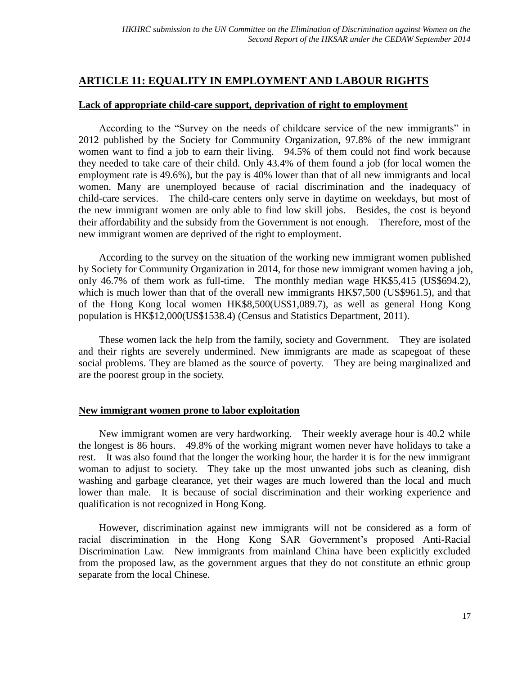## <span id="page-16-0"></span>**ARTICLE 11: EQUALITY IN EMPLOYMENT AND LABOUR RIGHTS**

## <span id="page-16-1"></span>**Lack of appropriate child-care support, deprivation of right to employment**

According to the "Survey on the needs of childcare service of the new immigrants" in 2012 published by the Society for Community Organization, 97.8% of the new immigrant women want to find a job to earn their living. 94.5% of them could not find work because they needed to take care of their child. Only 43.4% of them found a job (for local women the employment rate is 49.6%), but the pay is 40% lower than that of all new immigrants and local women. Many are unemployed because of racial discrimination and the inadequacy of child-care services. The child-care centers only serve in daytime on weekdays, but most of the new immigrant women are only able to find low skill jobs. Besides, the cost is beyond their affordability and the subsidy from the Government is not enough. Therefore, most of the new immigrant women are deprived of the right to employment.

According to the survey on the situation of the working new immigrant women published by Society for Community Organization in 2014, for those new immigrant women having a job, only 46.7% of them work as full-time. The monthly median wage HK\$5,415 (US\$694.2), which is much lower than that of the overall new immigrants HK\$7,500 (US\$961.5), and that of the Hong Kong local women HK\$8,500(US\$1,089.7), as well as general Hong Kong population is HK\$12,000(US\$1538.4) (Census and Statistics Department, 2011).

These women lack the help from the family, society and Government. They are isolated and their rights are severely undermined. New immigrants are made as scapegoat of these social problems. They are blamed as the source of poverty. They are being marginalized and are the poorest group in the society.

## <span id="page-16-2"></span>**New immigrant women prone to labor exploitation**

New immigrant women are very hardworking. Their weekly average hour is 40.2 while the longest is 86 hours. 49.8% of the working migrant women never have holidays to take a rest. It was also found that the longer the working hour, the harder it is for the new immigrant woman to adjust to society. They take up the most unwanted jobs such as cleaning, dish washing and garbage clearance, yet their wages are much lowered than the local and much lower than male. It is because of social discrimination and their working experience and qualification is not recognized in Hong Kong.

However, discrimination against new immigrants will not be considered as a form of racial discrimination in the Hong Kong SAR Government's proposed Anti-Racial Discrimination Law. New immigrants from mainland China have been explicitly excluded from the proposed law, as the government argues that they do not constitute an ethnic group separate from the local Chinese.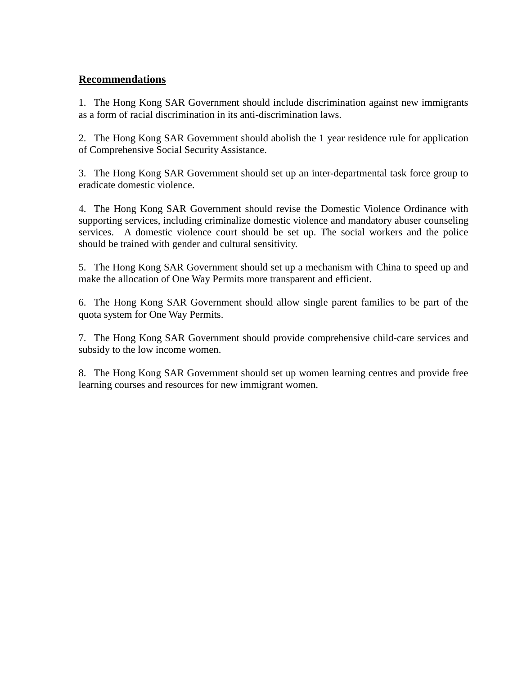## <span id="page-17-0"></span>**Recommendations**

1. The Hong Kong SAR Government should include discrimination against new immigrants as a form of racial discrimination in its anti-discrimination laws.

2. The Hong Kong SAR Government should abolish the 1 year residence rule for application of Comprehensive Social Security Assistance.

3. The Hong Kong SAR Government should set up an inter-departmental task force group to eradicate domestic violence.

4. The Hong Kong SAR Government should revise the Domestic Violence Ordinance with supporting services, including criminalize domestic violence and mandatory abuser counseling services. A domestic violence court should be set up. The social workers and the police should be trained with gender and cultural sensitivity.

5. The Hong Kong SAR Government should set up a mechanism with China to speed up and make the allocation of One Way Permits more transparent and efficient.

6. The Hong Kong SAR Government should allow single parent families to be part of the quota system for One Way Permits.

7. The Hong Kong SAR Government should provide comprehensive child-care services and subsidy to the low income women.

8. The Hong Kong SAR Government should set up women learning centres and provide free learning courses and resources for new immigrant women.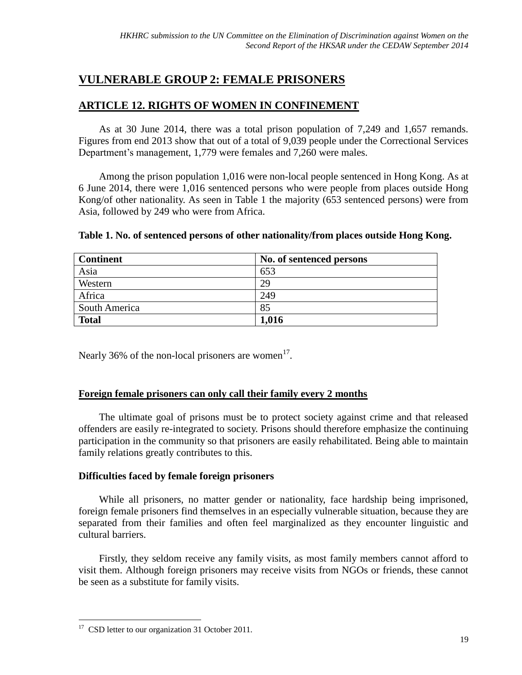# <span id="page-18-0"></span>**VULNERABLE GROUP 2: FEMALE PRISONERS**

## <span id="page-18-1"></span>**ARTICLE 12. RIGHTS OF WOMEN IN CONFINEMENT**

As at 30 June 2014, there was a total prison population of 7,249 and 1,657 remands. Figures from end 2013 show that out of a total of 9,039 people under the Correctional Services Department's management, 1,779 were females and 7,260 were males.

Among the prison population 1,016 were non-local people sentenced in Hong Kong. As at 6 June 2014, there were 1,016 sentenced persons who were people from places outside Hong Kong/of other nationality. As seen in Table 1 the majority (653 sentenced persons) were from Asia, followed by 249 who were from Africa.

| Table 1. No. of sentenced persons of other nationality/from places outside Hong Kong. |  |  |
|---------------------------------------------------------------------------------------|--|--|
|                                                                                       |  |  |

| <b>Continent</b> | No. of sentenced persons |
|------------------|--------------------------|
| Asia             | 653                      |
| Western          | 29                       |
| Africa           | 249                      |
| South America    | 85                       |
| <b>Total</b>     | 1,016                    |

Nearly 36% of the non-local prisoners are women $<sup>17</sup>$ .</sup>

## <span id="page-18-2"></span>**Foreign female prisoners can only call their family every 2 months**

The ultimate goal of prisons must be to protect society against crime and that released offenders are easily re-integrated to society. Prisons should therefore emphasize the continuing participation in the community so that prisoners are easily rehabilitated. Being able to maintain family relations greatly contributes to this.

## **Difficulties faced by female foreign prisoners**

While all prisoners, no matter gender or nationality, face hardship being imprisoned, foreign female prisoners find themselves in an especially vulnerable situation, because they are separated from their families and often feel marginalized as they encounter linguistic and cultural barriers.

Firstly, they seldom receive any family visits, as most family members cannot afford to visit them. Although foreign prisoners may receive visits from NGOs or friends, these cannot be seen as a substitute for family visits.

 $\overline{a}$ 

<sup>&</sup>lt;sup>17</sup> CSD letter to our organization 31 October 2011.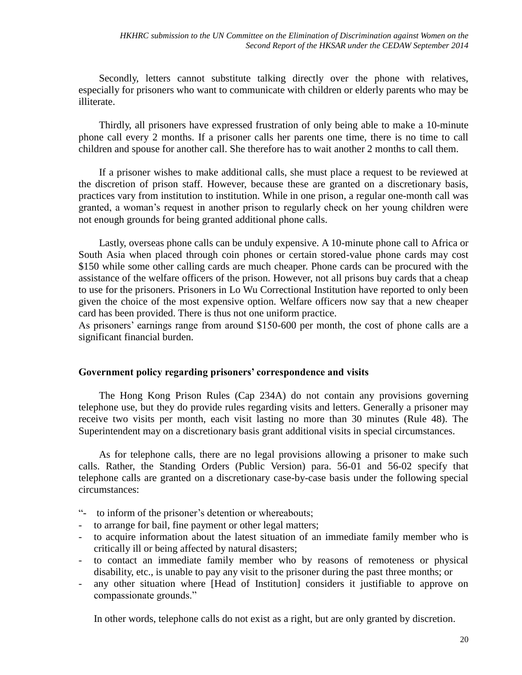Secondly, letters cannot substitute talking directly over the phone with relatives, especially for prisoners who want to communicate with children or elderly parents who may be illiterate.

Thirdly, all prisoners have expressed frustration of only being able to make a 10-minute phone call every 2 months. If a prisoner calls her parents one time, there is no time to call children and spouse for another call. She therefore has to wait another 2 months to call them.

If a prisoner wishes to make additional calls, she must place a request to be reviewed at the discretion of prison staff. However, because these are granted on a discretionary basis, practices vary from institution to institution. While in one prison, a regular one-month call was granted, a woman's request in another prison to regularly check on her young children were not enough grounds for being granted additional phone calls.

Lastly, overseas phone calls can be unduly expensive. A 10-minute phone call to Africa or South Asia when placed through coin phones or certain stored-value phone cards may cost \$150 while some other calling cards are much cheaper. Phone cards can be procured with the assistance of the welfare officers of the prison. However, not all prisons buy cards that a cheap to use for the prisoners. Prisoners in Lo Wu Correctional Institution have reported to only been given the choice of the most expensive option. Welfare officers now say that a new cheaper card has been provided. There is thus not one uniform practice.

As prisoners' earnings range from around \$150-600 per month, the cost of phone calls are a significant financial burden.

## **Government policy regarding prisoners' correspondence and visits**

The Hong Kong Prison Rules (Cap 234A) do not contain any provisions governing telephone use, but they do provide rules regarding visits and letters. Generally a prisoner may receive two visits per month, each visit lasting no more than 30 minutes (Rule 48). The Superintendent may on a discretionary basis grant additional visits in special circumstances.

As for telephone calls, there are no legal provisions allowing a prisoner to make such calls. Rather, the Standing Orders (Public Version) para. 56-01 and 56-02 specify that telephone calls are granted on a discretionary case-by-case basis under the following special circumstances:

- "- to inform of the prisoner's detention or whereabouts;
- to arrange for bail, fine payment or other legal matters;
- to acquire information about the latest situation of an immediate family member who is critically ill or being affected by natural disasters;
- to contact an immediate family member who by reasons of remoteness or physical disability, etc., is unable to pay any visit to the prisoner during the past three months; or
- any other situation where [Head of Institution] considers it justifiable to approve on compassionate grounds."

In other words, telephone calls do not exist as a right, but are only granted by discretion.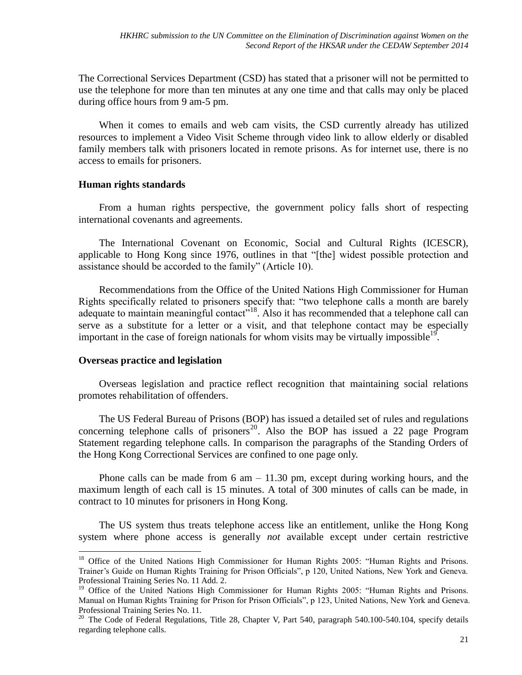The Correctional Services Department (CSD) has stated that a prisoner will not be permitted to use the telephone for more than ten minutes at any one time and that calls may only be placed during office hours from 9 am-5 pm.

When it comes to emails and web cam visits, the CSD currently already has utilized resources to implement a Video Visit Scheme through video link to allow elderly or disabled family members talk with prisoners located in remote prisons. As for internet use, there is no access to emails for prisoners.

## **Human rights standards**

From a human rights perspective, the government policy falls short of respecting international covenants and agreements.

The International Covenant on Economic, Social and Cultural Rights (ICESCR), applicable to Hong Kong since 1976, outlines in that "[the] widest possible protection and assistance should be accorded to the family" (Article 10).

Recommendations from the Office of the United Nations High Commissioner for Human Rights specifically related to prisoners specify that: "two telephone calls a month are barely adequate to maintain meaningful contact<sup>7,18</sup>. Also it has recommended that a telephone call can serve as a substitute for a letter or a visit, and that telephone contact may be especially important in the case of foreign nationals for whom visits may be virtually impossible<sup>19</sup>.

#### **Overseas practice and legislation**

 $\overline{a}$ 

Overseas legislation and practice reflect recognition that maintaining social relations promotes rehabilitation of offenders.

The US Federal Bureau of Prisons (BOP) has issued a detailed set of rules and regulations concerning telephone calls of prisoners<sup>20</sup>. Also the BOP has issued a 22 page Program Statement regarding telephone calls. In comparison the paragraphs of the Standing Orders of the Hong Kong Correctional Services are confined to one page only.

Phone calls can be made from  $6 \text{ am} - 11.30 \text{ pm}$ , except during working hours, and the maximum length of each call is 15 minutes. A total of 300 minutes of calls can be made, in contract to 10 minutes for prisoners in Hong Kong.

The US system thus treats telephone access like an entitlement, unlike the Hong Kong system where phone access is generally *not* available except under certain restrictive

<sup>&</sup>lt;sup>18</sup> Office of the United Nations High Commissioner for Human Rights 2005: "Human Rights and Prisons. Trainer's Guide on Human Rights Training for Prison Officials", p 120, United Nations, New York and Geneva. Professional Training Series No. 11 Add. 2.

<sup>&</sup>lt;sup>19</sup> Office of the United Nations High Commissioner for Human Rights 2005: "Human Rights and Prisons. Manual on Human Rights Training for Prison for Prison Officials", p 123, United Nations, New York and Geneva. Professional Training Series No. 11.

<sup>&</sup>lt;sup>20</sup> The Code of Federal Regulations, Title 28, Chapter V, Part 540, paragraph 540.100-540.104, specify details regarding telephone calls.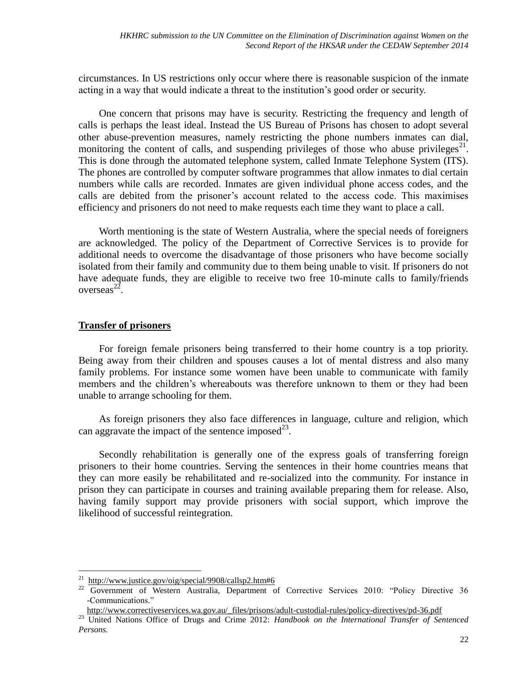circumstances. In US restrictions only occur where there is reasonable suspicion of the inmate acting in a way that would indicate a threat to the institution's good order or security.

One concern that prisons may have is security. Restricting the frequency and length of calls is perhaps the least ideal. Instead the US Bureau of Prisons has chosen to adopt several other abuse-prevention measures, namely restricting the phone numbers inmates can dial, monitoring the content of calls, and suspending privileges of those who abuse privileges<sup>21</sup>. This is done through the automated telephone system, called Inmate Telephone System (ITS). The phones are controlled by computer software programmes that allow inmates to dial certain numbers while calls are recorded. Inmates are given individual phone access codes, and the calls are debited from the prisoner's account related to the access code. This maximises efficiency and prisoners do not need to make requests each time they want to place a call.

Worth mentioning is the state of Western Australia, where the special needs of foreigners are acknowledged. The policy of the Department of Corrective Services is to provide for additional needs to overcome the disadvantage of those prisoners who have become socially isolated from their family and community due to them being unable to visit. If prisoners do not have adequate funds, they are eligible to receive two free 10-minute calls to family/friends overseas<sup>22</sup>.

## <span id="page-21-0"></span>**Transfer of prisoners**

 $\overline{a}$ 

For foreign female prisoners being transferred to their home country is a top priority. Being away from their children and spouses causes a lot of mental distress and also many family problems. For instance some women have been unable to communicate with family members and the children's whereabouts was therefore unknown to them or they had been unable to arrange schooling for them.

As foreign prisoners they also face differences in language, culture and religion, which can aggravate the impact of the sentence imposed $^{23}$ .

Secondly rehabilitation is generally one of the express goals of transferring foreign prisoners to their home countries. Serving the sentences in their home countries means that they can more easily be rehabilitated and re-socialized into the community. For instance in prison they can participate in courses and training available preparing them for release. Also, having family support may provide prisoners with social support, which improve the likelihood of successful reintegration.

<http://www.justice.gov/oig/special/9908/callsp2.htm#6>

<sup>&</sup>lt;sup>22</sup> Government of Western Australia, Department of Corrective Services 2010: "Policy Directive 36 -Communications."

[http://www.correctiveservices.wa.gov.au/\\_files/prisons/adult-custodial-rules/policy-directives/pd-36.pdf](http://www.correctiveservices.wa.gov.au/_files/prisons/adult-custodial-rules/policy-directives/pd-36.pdf)

<sup>&</sup>lt;sup>23</sup> United Nations Office of Drugs and Crime 2012: *Handbook on the International Transfer of Sentenced Persons.*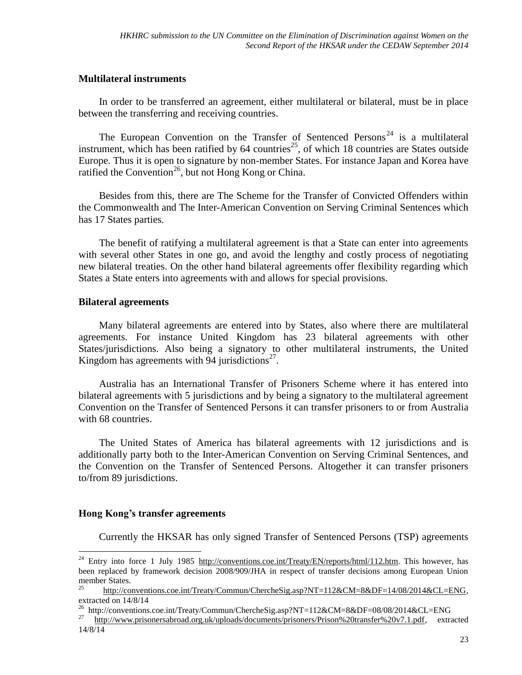## **Multilateral instruments**

In order to be transferred an agreement, either multilateral or bilateral, must be in place between the transferring and receiving countries.

The European Convention on the Transfer of Sentenced Persons<sup>24</sup> is a multilateral instrument, which has been ratified by  $64$  countries<sup>25</sup>, of which 18 countries are States outside Europe. Thus it is open to signature by non-member States. For instance Japan and Korea have ratified the Convention<sup>26</sup>, but not Hong Kong or China.

Besides from this, there are The Scheme for the Transfer of Convicted Offenders within the Commonwealth and The Inter-American Convention on Serving Criminal Sentences which has 17 States parties.

The benefit of ratifying a multilateral agreement is that a State can enter into agreements with several other States in one go, and avoid the lengthy and costly process of negotiating new bilateral treaties. On the other hand bilateral agreements offer flexibility regarding which States a State enters into agreements with and allows for special provisions.

## **Bilateral agreements**

Many bilateral agreements are entered into by States, also where there are multilateral agreements. For instance United Kingdom has 23 bilateral agreements with other States/jurisdictions. Also being a signatory to other multilateral instruments, the United Kingdom has agreements with 94 jurisdictions<sup>27</sup>.

Australia has an International Transfer of Prisoners Scheme where it has entered into bilateral agreements with 5 jurisdictions and by being a signatory to the multilateral agreement Convention on the Transfer of Sentenced Persons it can transfer prisoners to or from Australia with 68 countries.

The United States of America has bilateral agreements with 12 jurisdictions and is additionally party both to the Inter-American Convention on Serving Criminal Sentences, and the Convention on the Transfer of Sentenced Persons. Altogether it can transfer prisoners to/from 89 jurisdictions.

## **Hong Kong's transfer agreements**

 $\overline{a}$ 

Currently the HKSAR has only signed Transfer of Sentenced Persons (TSP) agreements

<sup>&</sup>lt;sup>24</sup> Entry into force 1 July 1985 [http://conventions.coe.int/Treaty/EN/reports/html/112.htm.](http://conventions.coe.int/Treaty/EN/reports/html/112.htm) This however, has been replaced by framework decision 2008/909/JHA in respect of transfer decisions among European Union member States.

[http://conventions.coe.int/Treaty/Commun/ChercheSig.asp?NT=112&CM=8&DF=14/08/2014&CL=ENG,](http://conventions.coe.int/Treaty/Commun/ChercheSig.asp?NT=112&CM=8&DF=14/08/2014&CL=ENG) extracted on 14/8/14

<sup>&</sup>lt;sup>26</sup> http://conventions.coe.int/Treaty/Commun/ChercheSig.asp?NT=112&CM=8&DF=08/08/2014&CL=ENG<br><sup>27</sup> http://www.prisonarsphroad.org.uk/uploads/documents/prisoners/Prison%20transfer%20y7.1.ndf

<sup>27</sup> [http://www.prisonersabroad.org.uk/uploads/documents/prisoners/Prison%20transfer%20v7.1.pdf,](http://www.prisonersabroad.org.uk/uploads/documents/prisoners/Prison%20transfer%20v7.1.pdf) extracted 14/8/14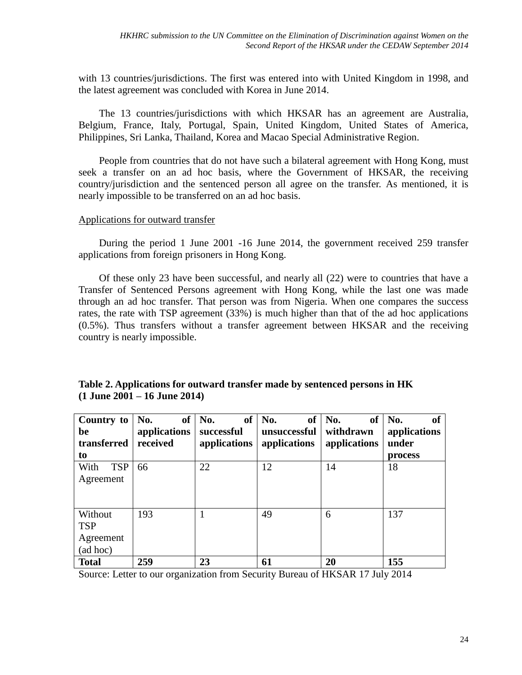with 13 countries/jurisdictions. The first was entered into with United Kingdom in 1998, and the latest agreement was concluded with Korea in June 2014.

The 13 countries/jurisdictions with which HKSAR has an agreement are Australia, Belgium, France, Italy, Portugal, Spain, United Kingdom, United States of America, Philippines, Sri Lanka, Thailand, Korea and Macao Special Administrative Region.

People from countries that do not have such a bilateral agreement with Hong Kong, must seek a transfer on an ad hoc basis, where the Government of HKSAR, the receiving country/jurisdiction and the sentenced person all agree on the transfer. As mentioned, it is nearly impossible to be transferred on an ad hoc basis.

## Applications for outward transfer

During the period 1 June 2001 -16 June 2014, the government received 259 transfer applications from foreign prisoners in Hong Kong.

Of these only 23 have been successful, and nearly all (22) were to countries that have a Transfer of Sentenced Persons agreement with Hong Kong, while the last one was made through an ad hoc transfer. That person was from Nigeria. When one compares the success rates, the rate with TSP agreement (33%) is much higher than that of the ad hoc applications (0.5%). Thus transfers without a transfer agreement between HKSAR and the receiving country is nearly impossible.

| Country to<br>be<br>transferred<br>to          | No.<br>applications<br>received | of $\vert$ No.<br>successful<br>applications | of $\vert$ No.<br>of<br>unsuccessful<br>applications | No.<br><b>of</b><br>withdrawn<br>applications | No.<br>of<br>applications<br>under<br>process |
|------------------------------------------------|---------------------------------|----------------------------------------------|------------------------------------------------------|-----------------------------------------------|-----------------------------------------------|
| <b>TSP</b><br>With<br>Agreement                | 66                              | 22                                           | 12                                                   | 14                                            | 18                                            |
| Without<br><b>TSP</b><br>Agreement<br>(ad hoc) | 193                             |                                              | 49                                                   | 6                                             | 137                                           |
| <b>Total</b>                                   | 259                             | 23                                           | 61                                                   | 20                                            | 155                                           |

## **Table 2. Applications for outward transfer made by sentenced persons in HK (1 June 2001 – 16 June 2014)**

Source: Letter to our organization from Security Bureau of HKSAR 17 July 2014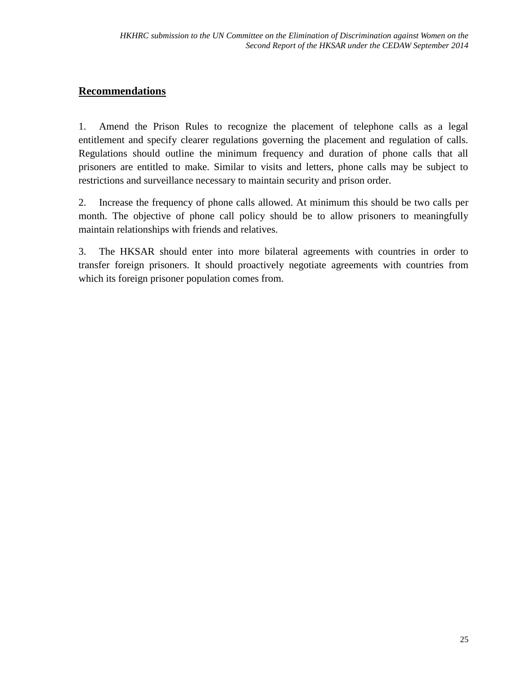## <span id="page-24-0"></span>**Recommendations**

1. Amend the Prison Rules to recognize the placement of telephone calls as a legal entitlement and specify clearer regulations governing the placement and regulation of calls. Regulations should outline the minimum frequency and duration of phone calls that all prisoners are entitled to make. Similar to visits and letters, phone calls may be subject to restrictions and surveillance necessary to maintain security and prison order.

2. Increase the frequency of phone calls allowed. At minimum this should be two calls per month. The objective of phone call policy should be to allow prisoners to meaningfully maintain relationships with friends and relatives.

3. The HKSAR should enter into more bilateral agreements with countries in order to transfer foreign prisoners. It should proactively negotiate agreements with countries from which its foreign prisoner population comes from.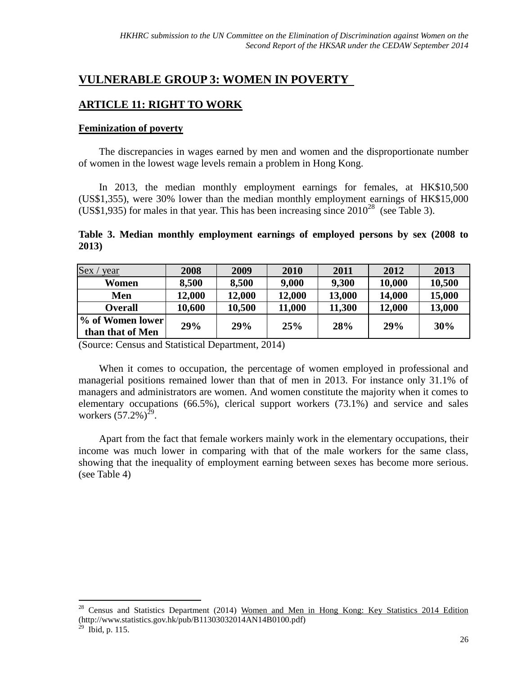# <span id="page-25-0"></span>**VULNERABLE GROUP 3: WOMEN IN POVERTY**

## <span id="page-25-1"></span>**ARTICLE 11: RIGHT TO WORK**

## <span id="page-25-2"></span>**Feminization of poverty**

The discrepancies in wages earned by men and women and the disproportionate number of women in the lowest wage levels remain a problem in Hong Kong.

In 2013, the median monthly employment earnings for females, at HK\$10,500 (US\$1,355), were 30% lower than the median monthly employment earnings of HK\$15,000 (US\$1,935) for males in that year. This has been increasing since  $2010^{28}$  (see Table 3).

## **Table 3. Median monthly employment earnings of employed persons by sex (2008 to 2013)**

| Sex<br>year      | 2008   | 2009   | 2010          | 2011   | 2012   | 2013   |
|------------------|--------|--------|---------------|--------|--------|--------|
| Women            | 8,500  | 8,500  | 9,000         | 9,300  | 10,000 | 10,500 |
| Men              | 12,000 | 12,000 | <b>12,000</b> | 13,000 | 14,000 | 15,000 |
| <b>Overall</b>   | 10,600 | 10,500 | 11,000        | 11,300 | 12,000 | 13,000 |
| % of Women lower | 29%    | 29%    | 25%           | 28%    | 29%    | 30%    |
| than that of Men |        |        |               |        |        |        |

(Source: Census and Statistical Department, 2014)

When it comes to occupation, the percentage of women employed in professional and managerial positions remained lower than that of men in 2013. For instance only 31.1% of managers and administrators are women. And women constitute the majority when it comes to elementary occupations (66.5%), clerical support workers (73.1%) and service and sales workers  $(57.2%)^{29}$ .

Apart from the fact that female workers mainly work in the elementary occupations, their income was much lower in comparing with that of the male workers for the same class, showing that the inequality of employment earning between sexes has become more serious. (see Table 4)

 $\overline{a}$ 

<sup>&</sup>lt;sup>28</sup> Census and Statistics Department (2014) Women and Men in Hong Kong: Key Statistics 2014 Edition (http://www.statistics.gov.hk/pub/B11303032014AN14B0100.pdf)

 $^{29}$  Ibid, p. 115.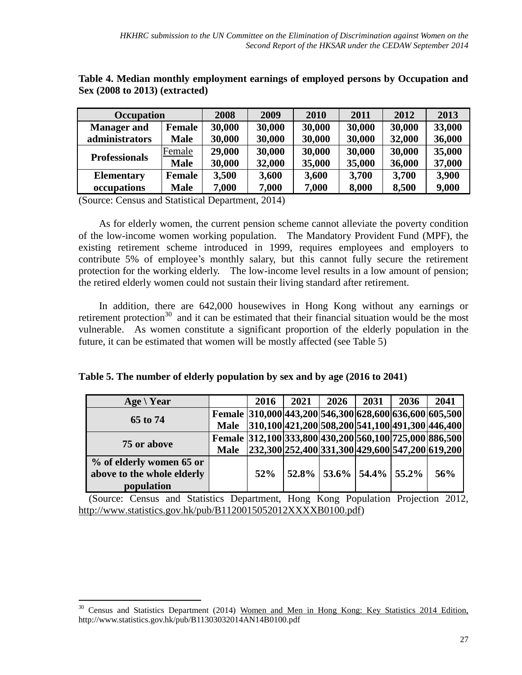| Occupation           |             | 2008   | 2009   | 2010   | 2011   | 2012   | 2013   |
|----------------------|-------------|--------|--------|--------|--------|--------|--------|
| <b>Manager and</b>   | Female      | 30,000 | 30,000 | 30,000 | 30,000 | 30,000 | 33,000 |
| administrators       | <b>Male</b> | 30,000 | 30,000 | 30,000 | 30,000 | 32,000 | 36,000 |
| <b>Professionals</b> | Female      | 29,000 | 30,000 | 30,000 | 30,000 | 30,000 | 35,000 |
|                      | <b>Male</b> | 30,000 | 32,000 | 35,000 | 35,000 | 36,000 | 37,000 |
| <b>Elementary</b>    | Female      | 3,500  | 3,600  | 3,600  | 3,700  | 3,700  | 3,900  |
| occupations          | <b>Male</b> | 7,000  | 7,000  | 7,000  | 8,000  | 8,500  | 9,000  |

**Table 4. Median monthly employment earnings of employed persons by Occupation and Sex (2008 to 2013) (extracted)**

(Source: Census and Statistical Department, 2014)

 $\overline{a}$ 

As for elderly women, the current pension scheme cannot alleviate the poverty condition of the low-income women working population. The Mandatory Provident Fund (MPF), the existing retirement scheme introduced in 1999, requires employees and employers to contribute 5% of employee's monthly salary, but this cannot fully secure the retirement protection for the working elderly. The low-income level results in a low amount of pension; the retired elderly women could not sustain their living standard after retirement.

In addition, there are 642,000 housewives in Hong Kong without any earnings or retirement protection<sup>30</sup> and it can be estimated that their financial situation would be the most vulnerable. As women constitute a significant proportion of the elderly population in the future, it can be estimated that women will be mostly affected (see Table 5)

| Age $\forall$ Year         |             | 2016   | 2021 | 2026                           | 2031 | 2036 | 2041                                                   |
|----------------------------|-------------|--------|------|--------------------------------|------|------|--------------------------------------------------------|
|                            |             |        |      |                                |      |      | Female 310,000 443,200 546,300 628,600 636,600 605,500 |
| 65 to 74                   | <b>Male</b> |        |      |                                |      |      | $ 310,100 421,200 508,200 541,100 491,300 446,400 $    |
| 75 or above                |             |        |      |                                |      |      | Female 312,100 333,800 430,200 560,100 725,000 886,500 |
|                            | <b>Male</b> |        |      |                                |      |      | $[232,300]252,400]331,300]429,600[547,200]619,200$     |
| % of elderly women 65 or   |             |        |      |                                |      |      |                                                        |
| above to the whole elderly |             | $52\%$ |      | $ 52.8\% 53.6\% 54.4\% 55.2\%$ |      |      | 56%                                                    |
| population                 |             |        |      |                                |      |      |                                                        |

(Source: Census and Statistics Department, Hong Kong Population Projection 2012, [http://www.statistics.gov.hk/pub/B1120015052012XXXXB0100.pdf\)](http://www.statistics.gov.hk/pub/B1120015052012XXXXB0100.pdf)

<sup>&</sup>lt;sup>30</sup> Census and Statistics Department (2014) Women and Men in Hong Kong: Key Statistics 2014 Edition, http://www.statistics.gov.hk/pub/B11303032014AN14B0100.pdf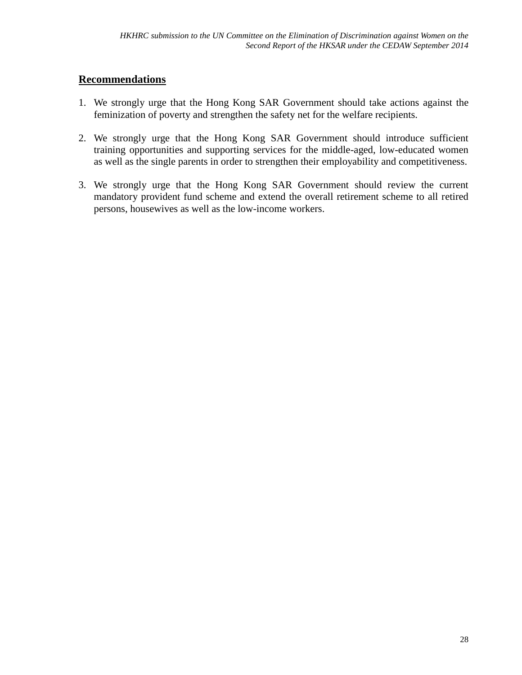## <span id="page-27-0"></span>**Recommendations**

- 1. We strongly urge that the Hong Kong SAR Government should take actions against the feminization of poverty and strengthen the safety net for the welfare recipients.
- 2. We strongly urge that the Hong Kong SAR Government should introduce sufficient training opportunities and supporting services for the middle-aged, low-educated women as well as the single parents in order to strengthen their employability and competitiveness.
- 3. We strongly urge that the Hong Kong SAR Government should review the current mandatory provident fund scheme and extend the overall retirement scheme to all retired persons, housewives as well as the low-income workers.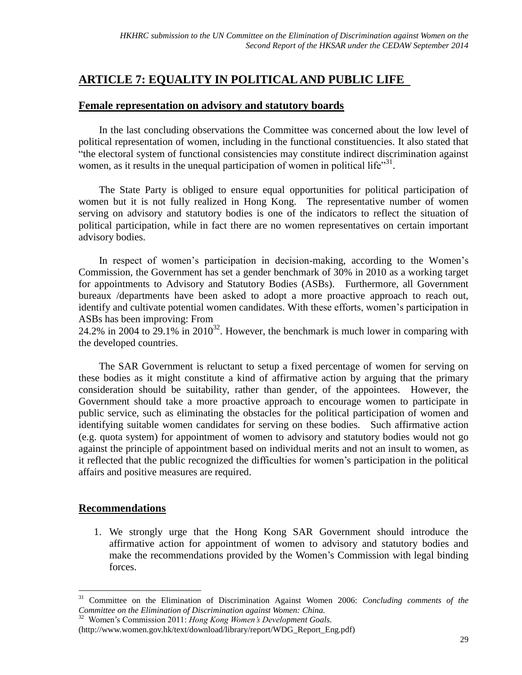# <span id="page-28-0"></span>**ARTICLE 7: EQUALITY IN POLITICAL AND PUBLIC LIFE**

## <span id="page-28-1"></span>**Female representation on advisory and statutory boards**

In the last concluding observations the Committee was concerned about the low level of political representation of women, including in the functional constituencies. It also stated that "the electoral system of functional consistencies may constitute indirect discrimination against women, as it results in the unequal participation of women in political life $^{31}$ .

The State Party is obliged to ensure equal opportunities for political participation of women but it is not fully realized in Hong Kong. The representative number of women serving on advisory and statutory bodies is one of the indicators to reflect the situation of political participation, while in fact there are no women representatives on certain important advisory bodies.

In respect of women's participation in decision-making, according to the Women's Commission, the Government has set a gender benchmark of 30% in 2010 as a working target for appointments to Advisory and Statutory Bodies (ASBs). Furthermore, all Government bureaux /departments have been asked to adopt a more proactive approach to reach out, identify and cultivate potential women candidates. With these efforts, women's participation in ASBs has been improving: From

24.2% in 2004 to  $29.1\%$  in 2010<sup>32</sup>. However, the benchmark is much lower in comparing with the developed countries.

The SAR Government is reluctant to setup a fixed percentage of women for serving on these bodies as it might constitute a kind of affirmative action by arguing that the primary consideration should be suitability, rather than gender, of the appointees. However, the Government should take a more proactive approach to encourage women to participate in public service, such as eliminating the obstacles for the political participation of women and identifying suitable women candidates for serving on these bodies. Such affirmative action (e.g. quota system) for appointment of women to advisory and statutory bodies would not go against the principle of appointment based on individual merits and not an insult to women, as it reflected that the public recognized the difficulties for women's participation in the political affairs and positive measures are required.

## <span id="page-28-2"></span>**Recommendations**

 $\overline{a}$ 

1. We strongly urge that the Hong Kong SAR Government should introduce the affirmative action for appointment of women to advisory and statutory bodies and make the recommendations provided by the Women's Commission with legal binding forces.

<sup>31</sup> Committee on the Elimination of Discrimination Against Women 2006: *Concluding comments of the Committee on the Elimination of Discrimination against Women: China.* 

<sup>32</sup> Women's Commission 2011: *Hong Kong Women's Development Goals.* (http://www.women.gov.hk/text/download/library/report/WDG\_Report\_Eng.pdf)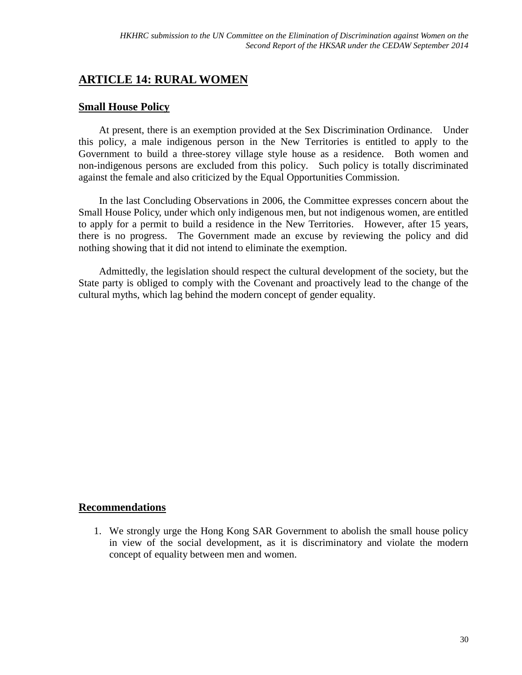# <span id="page-29-0"></span>**ARTICLE 14: RURAL WOMEN**

## <span id="page-29-1"></span>**Small House Policy**

At present, there is an exemption provided at the Sex Discrimination Ordinance. Under this policy, a male indigenous person in the New Territories is entitled to apply to the Government to build a three-storey village style house as a residence. Both women and non-indigenous persons are excluded from this policy. Such policy is totally discriminated against the female and also criticized by the Equal Opportunities Commission.

In the last Concluding Observations in 2006, the Committee expresses concern about the Small House Policy, under which only indigenous men, but not indigenous women, are entitled to apply for a permit to build a residence in the New Territories. However, after 15 years, there is no progress. The Government made an excuse by reviewing the policy and did nothing showing that it did not intend to eliminate the exemption.

Admittedly, the legislation should respect the cultural development of the society, but the State party is obliged to comply with the Covenant and proactively lead to the change of the cultural myths, which lag behind the modern concept of gender equality.

## <span id="page-29-2"></span>**Recommendations**

1. We strongly urge the Hong Kong SAR Government to abolish the small house policy in view of the social development, as it is discriminatory and violate the modern concept of equality between men and women.